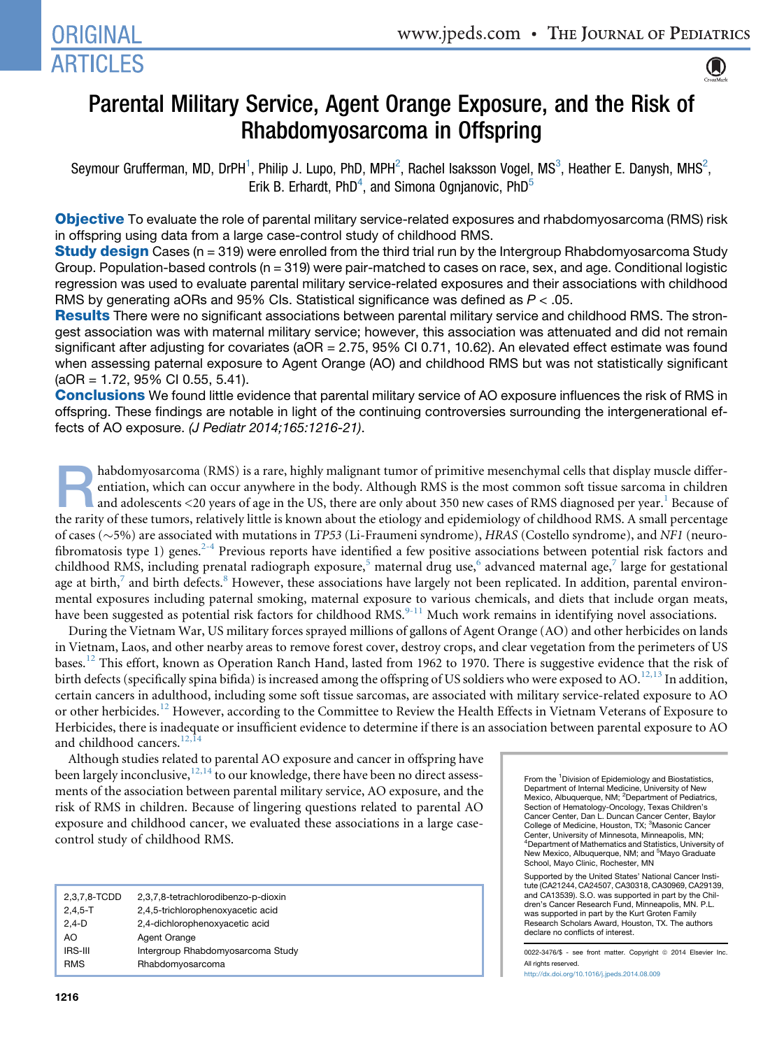# **ORIGINAL ARTICLES**



# Parental Military Service, Agent Orange Exposure, and the Risk of Rhabdomyosarcoma in Offspring

Seymour Grufferman, MD, DrPH<sup>1</sup>, Philip J. Lupo, PhD, MPH<sup>2</sup>, Rachel Isaksson Vogel, MS<sup>3</sup>, Heather E. Danysh, MHS<sup>2</sup>, Erik B. Erhardt, PhD<sup>4</sup>, and Simona Ognjanovic, PhD<sup>5</sup>

Objective To evaluate the role of parental military service-related exposures and rhabdomyosarcoma (RMS) risk in offspring using data from a large case-control study of childhood RMS.

**Study design** Cases ( $n = 319$ ) were enrolled from the third trial run by the Intergroup Rhabdomyosarcoma Study Group. Population-based controls ( $n = 319$ ) were pair-matched to cases on race, sex, and age. Conditional logistic regression was used to evaluate parental military service-related exposures and their associations with childhood RMS by generating aORs and 95% CIs. Statistical significance was defined as *P* < .05.

Results There were no significant associations between parental military service and childhood RMS. The strongest association was with maternal military service; however, this association was attenuated and did not remain significant after adjusting for covariates (aOR = 2.75, 95% CI 0.71, 10.62). An elevated effect estimate was found when assessing paternal exposure to Agent Orange (AO) and childhood RMS but was not statistically significant (aOR = 1.72, 95% CI 0.55, 5.41).

Conclusions We found little evidence that parental military service of AO exposure influences the risk of RMS in offspring. These findings are notable in light of the continuing controversies surrounding the intergenerational effects of AO exposure. *(J Pediatr 2014;165:1216-21)*.

habdomyosarcoma (RMS) is a rare, highly malignant tumor of primitive mesenchymal cells that display muscle differentiation, which can occur anywhere in the body. Although RMS is the most common soft tissue sarcoma in children and adolescents  $\langle 20 \rangle$  years of age in the US, there are only about 350 new cases of RMS diagnosed per year.<sup>[1](#page-5-0)</sup> Because of the rarity of these tumors, relatively little is known about the etiology and epidemiology of childhood RMS. A small percentage of cases ( $\sim$ 5%) are associated with mutations in TP53 (Li-Fraumeni syndrome), HRAS (Costello syndrome), and NF1 (neurofibromatosis type 1) genes. $2-4$  Previous reports have identified a few positive associations between potential risk factors and childhood RMS, including prenatal radiograph exposure,<sup>[5](#page-5-0)</sup> maternal drug use,<sup>[6](#page-5-0)</sup> advanced maternal age,<sup>[7](#page-5-0)</sup> large for gestational age at birth, $\frac{7}{7}$  $\frac{7}{7}$  $\frac{7}{7}$  and birth defects. $\frac{8}{7}$  $\frac{8}{7}$  $\frac{8}{7}$  However, these associations have largely not been replicated. In addition, parental environmental exposures including paternal smoking, maternal exposure to various chemicals, and diets that include organ meats, have been suggested as potential risk factors for childhood RMS.<sup>[9-11](#page-5-0)</sup> Much work remains in identifying novel associations.

During the Vietnam War, US military forces sprayed millions of gallons of Agent Orange (AO) and other herbicides on lands in Vietnam, Laos, and other nearby areas to remove forest cover, destroy crops, and clear vegetation from the perimeters of US bases.<sup>[12](#page-5-0)</sup> This effort, known as Operation Ranch Hand, lasted from 1962 to 1970. There is suggestive evidence that the risk of birth defects (specifically spina bifida) is increased among the offspring of US soldiers who were exposed to AO.<sup>12,13</sup> In addition, certain cancers in adulthood, including some soft tissue sarcomas, are associated with military service-related exposure to AO or other herbicides.<sup>[12](#page-5-0)</sup> However, according to the Committee to Review the Health Effects in Vietnam Veterans of Exposure to Herbicides, there is inadequate or insufficient evidence to determine if there is an association between parental exposure to AO and childhood cancers.<sup>12,14</sup>

Although studies related to parental AO exposure and cancer in offspring have been largely inconclusive,  $^{12,14}$  $^{12,14}$  $^{12,14}$  to our knowledge, there have been no direct assessments of the association between parental military service, AO exposure, and the risk of RMS in children. Because of lingering questions related to parental AO exposure and childhood cancer, we evaluated these associations in a large casecontrol study of childhood RMS.

| 2,3,7,8-TCDD | 2,3,7,8-tetrachlorodibenzo-p-dioxin |
|--------------|-------------------------------------|
| $2,4,5 - T$  | 2,4,5-trichlorophenoxyacetic acid   |
| $2.4-D$      | 2,4-dichlorophenoxyacetic acid      |
| AO           | Agent Orange                        |
| IRS-III      | Intergroup Rhabdomyosarcoma Study   |
| <b>RMS</b>   | Rhabdomyosarcoma                    |

From the <sup>1</sup> Division of Epidemiology and Biostatistics, Department of Internal Medicine, University of New Mexico, Albuquerque, NM; <sup>2</sup>Department of Pediatrics, Section of Hematology-Oncology, Texas Children's Cancer Center, Dan L. Duncan Cancer Center, Baylor College of Medicine, Houston, TX; <sup>3</sup>Masonic Cancer Center, University of Minnesota, Minneapolis, MN; 4 Department of Mathematics and Statistics, University of New Mexico, Albuquerque, NM; and <sup>5</sup>Mayo Graduate School, Mayo Clinic, Rochester, MN

Supported by the United States' National Cancer Insti-tute (CA21244, CA24507, CA30318, CA30969, CA29139, and CA13539). S.O. was supported in part by the Children's Cancer Research Fund, Minneapolis, MN. P.L. was supported in part by the Kurt Groten Family Research Scholars Award, Houston, TX. The authors declare no conflicts of interest.

0022-3476/\$ - see front matter. Copyright @ 2014 Elsevier Inc. All rights reserved. <http://dx.doi.org/10.1016/j.jpeds.2014.08.009>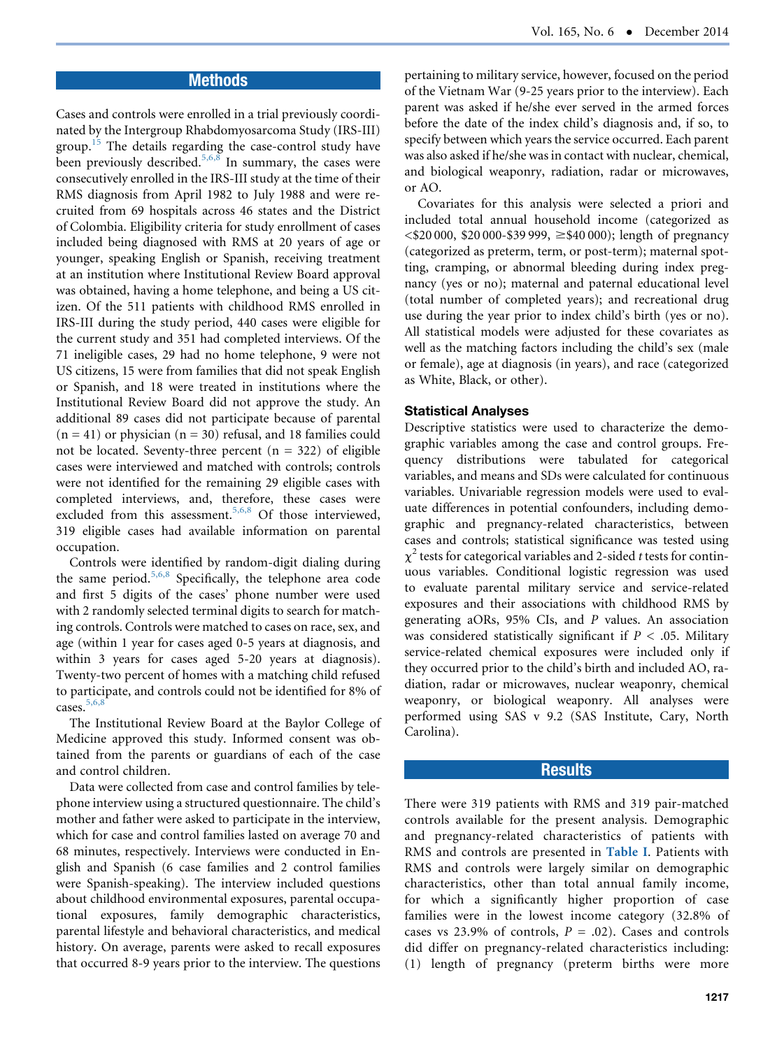## **Methods**

Cases and controls were enrolled in a trial previously coordinated by the Intergroup Rhabdomyosarcoma Study (IRS-III) group.<sup>[15](#page-5-0)</sup> The details regarding the case-control study have been previously described.<sup>[5,6,8](#page-5-0)</sup> In summary, the cases were consecutively enrolled in the IRS-III study at the time of their RMS diagnosis from April 1982 to July 1988 and were recruited from 69 hospitals across 46 states and the District of Colombia. Eligibility criteria for study enrollment of cases included being diagnosed with RMS at 20 years of age or younger, speaking English or Spanish, receiving treatment at an institution where Institutional Review Board approval was obtained, having a home telephone, and being a US citizen. Of the 511 patients with childhood RMS enrolled in IRS-III during the study period, 440 cases were eligible for the current study and 351 had completed interviews. Of the 71 ineligible cases, 29 had no home telephone, 9 were not US citizens, 15 were from families that did not speak English or Spanish, and 18 were treated in institutions where the Institutional Review Board did not approve the study. An additional 89 cases did not participate because of parental  $(n = 41)$  or physician  $(n = 30)$  refusal, and 18 families could not be located. Seventy-three percent  $(n = 322)$  of eligible cases were interviewed and matched with controls; controls were not identified for the remaining 29 eligible cases with completed interviews, and, therefore, these cases were excluded from this assessment.<sup>[5,6,8](#page-5-0)</sup> Of those interviewed, 319 eligible cases had available information on parental occupation.

Controls were identified by random-digit dialing during the same period.<sup>[5,6,8](#page-5-0)</sup> Specifically, the telephone area code and first 5 digits of the cases' phone number were used with 2 randomly selected terminal digits to search for matching controls. Controls were matched to cases on race, sex, and age (within 1 year for cases aged 0-5 years at diagnosis, and within 3 years for cases aged 5-20 years at diagnosis). Twenty-two percent of homes with a matching child refused to participate, and controls could not be identified for 8% of cases. $5,6,8$ 

The Institutional Review Board at the Baylor College of Medicine approved this study. Informed consent was obtained from the parents or guardians of each of the case and control children.

Data were collected from case and control families by telephone interview using a structured questionnaire. The child's mother and father were asked to participate in the interview, which for case and control families lasted on average 70 and 68 minutes, respectively. Interviews were conducted in English and Spanish (6 case families and 2 control families were Spanish-speaking). The interview included questions about childhood environmental exposures, parental occupational exposures, family demographic characteristics, parental lifestyle and behavioral characteristics, and medical history. On average, parents were asked to recall exposures that occurred 8-9 years prior to the interview. The questions pertaining to military service, however, focused on the period of the Vietnam War (9-25 years prior to the interview). Each parent was asked if he/she ever served in the armed forces before the date of the index child's diagnosis and, if so, to specify between which years the service occurred. Each parent was also asked if he/she was in contact with nuclear, chemical, and biological weaponry, radiation, radar or microwaves, or AO.

Covariates for this analysis were selected a priori and included total annual household income (categorized as  $\langle$ \$20 000, \$20 000-\$39 999,  $\ge$ \$40 000); length of pregnancy (categorized as preterm, term, or post-term); maternal spotting, cramping, or abnormal bleeding during index pregnancy (yes or no); maternal and paternal educational level (total number of completed years); and recreational drug use during the year prior to index child's birth (yes or no). All statistical models were adjusted for these covariates as well as the matching factors including the child's sex (male or female), age at diagnosis (in years), and race (categorized as White, Black, or other).

#### Statistical Analyses

Descriptive statistics were used to characterize the demographic variables among the case and control groups. Frequency distributions were tabulated for categorical variables, and means and SDs were calculated for continuous variables. Univariable regression models were used to evaluate differences in potential confounders, including demographic and pregnancy-related characteristics, between cases and controls; statistical significance was tested using  $\chi^2$  tests for categorical variables and 2-sided t tests for continuous variables. Conditional logistic regression was used to evaluate parental military service and service-related exposures and their associations with childhood RMS by generating aORs, 95% CIs, and P values. An association was considered statistically significant if  $P < .05$ . Military service-related chemical exposures were included only if they occurred prior to the child's birth and included AO, radiation, radar or microwaves, nuclear weaponry, chemical weaponry, or biological weaponry. All analyses were performed using SAS v 9.2 (SAS Institute, Cary, North Carolina).

#### Results

There were 319 patients with RMS and 319 pair-matched controls available for the present analysis. Demographic and pregnancy-related characteristics of patients with RMS and controls are presented in [Table I](#page-2-0). Patients with RMS and controls were largely similar on demographic characteristics, other than total annual family income, for which a significantly higher proportion of case families were in the lowest income category (32.8% of cases vs 23.9% of controls,  $P = .02$ ). Cases and controls did differ on pregnancy-related characteristics including: (1) length of pregnancy (preterm births were more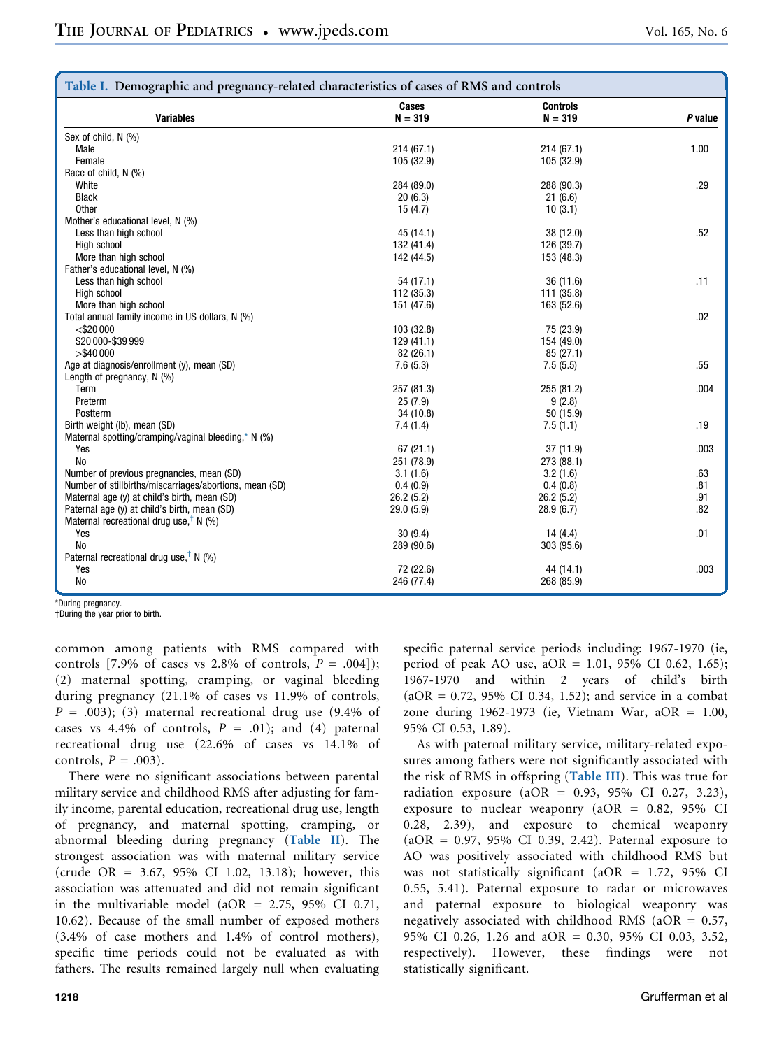<span id="page-2-0"></span>

| Table I. Demographic and pregnancy-related characteristics of cases of RMS and controls |                       |                              |         |  |
|-----------------------------------------------------------------------------------------|-----------------------|------------------------------|---------|--|
| <b>Variables</b>                                                                        | Cases<br>$N = 319$    | <b>Controls</b><br>$N = 319$ | P value |  |
| Sex of child, N (%)                                                                     |                       |                              |         |  |
| Male                                                                                    | 214(67.1)             | 214(67.1)                    | 1.00    |  |
| Female                                                                                  | 105 (32.9)            | 105 (32.9)                   |         |  |
| Race of child, N (%)                                                                    |                       |                              |         |  |
| White                                                                                   | 284 (89.0)            | 288 (90.3)                   | .29     |  |
| <b>Black</b>                                                                            | 20(6.3)               | 21(6.6)                      |         |  |
| Other                                                                                   | 15(4.7)               | 10(3.1)                      |         |  |
| Mother's educational level, N (%)                                                       |                       |                              |         |  |
| Less than high school                                                                   | 45 (14.1)             | 38 (12.0)                    | .52     |  |
| High school                                                                             | 132 (41.4)            | 126 (39.7)                   |         |  |
| More than high school                                                                   | 142 (44.5)            | 153 (48.3)                   |         |  |
| Father's educational level, N (%)                                                       |                       |                              |         |  |
| Less than high school                                                                   | 54 (17.1)             | 36 (11.6)                    | .11     |  |
| High school                                                                             | 112 (35.3)            | 111 (35.8)                   |         |  |
| More than high school                                                                   | 151 (47.6)            | 163 (52.6)                   |         |  |
| Total annual family income in US dollars, N (%)                                         |                       |                              | .02     |  |
| $<$ \$20 000                                                                            | 103 (32.8)            | 75 (23.9)                    |         |  |
| \$20 000-\$39 999                                                                       | 129(41.1)             | 154 (49.0)                   |         |  |
| $>$ \$40 000                                                                            |                       | 85(27.1)                     |         |  |
| Age at diagnosis/enrollment (y), mean (SD)                                              | 82 (26.1)<br>7.6(5.3) | 7.5(5.5)                     | .55     |  |
| Length of pregnancy, N (%)                                                              |                       |                              |         |  |
| Term                                                                                    | 257 (81.3)            | 255 (81.2)                   | .004    |  |
| Preterm                                                                                 |                       |                              |         |  |
|                                                                                         | 25(7.9)               | 9(2.8)                       |         |  |
| Postterm                                                                                | 34 (10.8)             | 50 (15.9)                    |         |  |
| Birth weight (lb), mean (SD)                                                            | 7.4(1.4)              | 7.5(1.1)                     | .19     |  |
| Maternal spotting/cramping/vaginal bleeding,* N (%)                                     |                       |                              |         |  |
| Yes                                                                                     | 67(21.1)              | 37 (11.9)                    | .003    |  |
| <b>No</b>                                                                               | 251 (78.9)            | 273 (88.1)                   |         |  |
| Number of previous pregnancies, mean (SD)                                               | 3.1(1.6)              | 3.2(1.6)                     | .63     |  |
| Number of stillbirths/miscarriages/abortions, mean (SD)                                 | 0.4(0.9)              | 0.4(0.8)                     | .81     |  |
| Maternal age (y) at child's birth, mean (SD)                                            | 26.2(5.2)             | 26.2(5.2)                    | .91     |  |
| Paternal age (y) at child's birth, mean (SD)                                            | 29.0(5.9)             | 28.9(6.7)                    | .82     |  |
| Maternal recreational drug use, <sup>†</sup> N (%)                                      |                       |                              |         |  |
| Yes                                                                                     | 30(9.4)               | 14(4.4)                      | .01     |  |
| <b>No</b>                                                                               | 289 (90.6)            | 303 (95.6)                   |         |  |
| Paternal recreational drug use, <sup>†</sup> N (%)                                      |                       |                              |         |  |
| Yes                                                                                     | 72 (22.6)             | 44 (14.1)                    | .003    |  |
| No                                                                                      | 246 (77.4)            | 268 (85.9)                   |         |  |

\*During pregnancy.

†During the year prior to birth.

common among patients with RMS compared with controls [7.9% of cases vs 2.8% of controls,  $P = .004$ ]); (2) maternal spotting, cramping, or vaginal bleeding during pregnancy (21.1% of cases vs 11.9% of controls,  $P = .003$ ); (3) maternal recreational drug use (9.4% of cases vs 4.4% of controls,  $P = .01$ ; and (4) paternal recreational drug use (22.6% of cases vs 14.1% of controls,  $P = .003$ ).

There were no significant associations between parental military service and childhood RMS after adjusting for family income, parental education, recreational drug use, length of pregnancy, and maternal spotting, cramping, or abnormal bleeding during pregnancy ([Table II](#page-3-0)). The strongest association was with maternal military service (crude OR = 3.67, 95% CI 1.02, 13.18); however, this association was attenuated and did not remain significant in the multivariable model (aOR =  $2.75$ , 95% CI 0.71, 10.62). Because of the small number of exposed mothers (3.4% of case mothers and 1.4% of control mothers), specific time periods could not be evaluated as with fathers. The results remained largely null when evaluating

specific paternal service periods including: 1967-1970 (ie, period of peak AO use,  $aOR = 1.01$ , 95% CI 0.62, 1.65); 1967-1970 and within 2 years of child's birth  $(aOR = 0.72, 95\% \text{ CI } 0.34, 1.52)$ ; and service in a combat zone during 1962-1973 (ie, Vietnam War, aOR = 1.00, 95% CI 0.53, 1.89).

As with paternal military service, military-related exposures among fathers were not significantly associated with the risk of RMS in offspring ([Table III](#page-3-0)). This was true for radiation exposure (aOR =  $0.93$ ,  $95\%$  CI 0.27, 3.23), exposure to nuclear weaponry (aOR = 0.82, 95% CI 0.28, 2.39), and exposure to chemical weaponry (aOR = 0.97, 95% CI 0.39, 2.42). Paternal exposure to AO was positively associated with childhood RMS but was not statistically significant (aOR = 1.72, 95% CI 0.55, 5.41). Paternal exposure to radar or microwaves and paternal exposure to biological weaponry was negatively associated with childhood RMS (aOR =  $0.57$ , 95% CI 0.26, 1.26 and aOR = 0.30, 95% CI 0.03, 3.52, respectively). However, these findings were not statistically significant.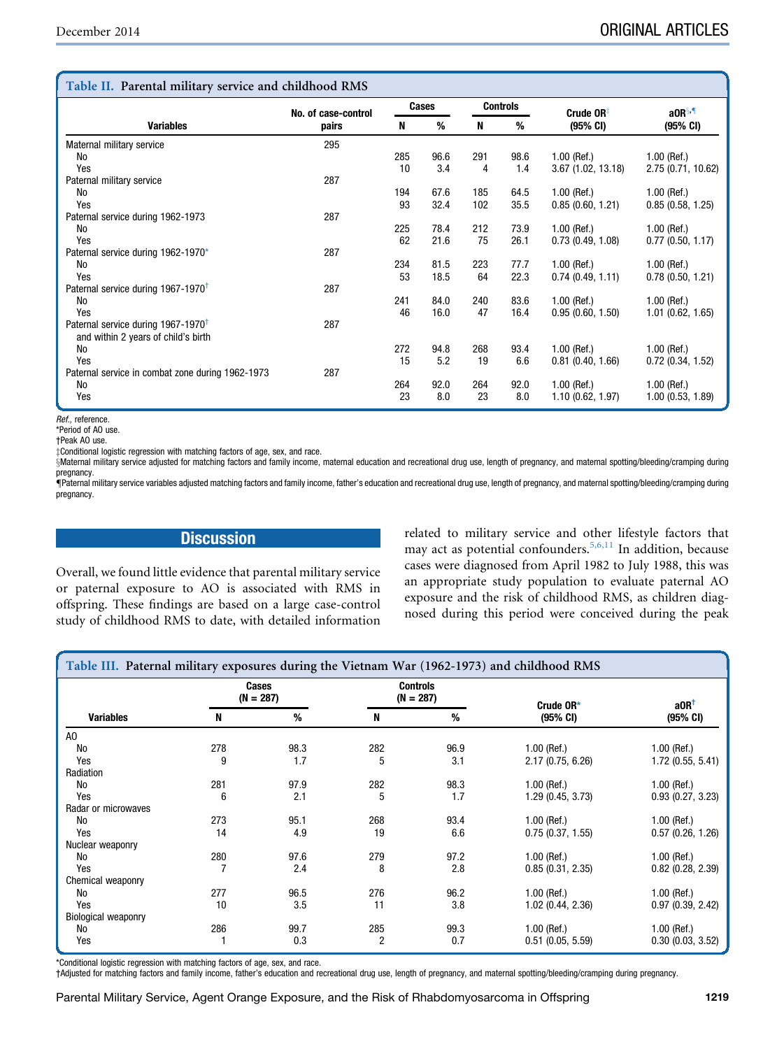## <span id="page-3-0"></span>Table II. Parental military service and childhood RMS

| Table II. Parental multary service and childhood RMS |                     |       |      |                 |      |                       |                       |  |
|------------------------------------------------------|---------------------|-------|------|-----------------|------|-----------------------|-----------------------|--|
|                                                      | No. of case-control | Cases |      | <b>Controls</b> |      | Crude $OR^{\ddagger}$ | aOR <sup>§,¶</sup>    |  |
| <b>Variables</b>                                     | pairs               | N     | %    | N               | %    | $(95% \text{ CI})$    | (95% CI)              |  |
| Maternal military service                            | 295                 |       |      |                 |      |                       |                       |  |
| <b>No</b>                                            |                     | 285   | 96.6 | 291             | 98.6 | $1.00$ (Ref.)         | $1.00$ (Ref.)         |  |
| Yes                                                  |                     | 10    | 3.4  | 4               | 1.4  | 3.67(1.02, 13.18)     | 2.75 (0.71, 10.62)    |  |
| Paternal military service                            | 287                 |       |      |                 |      |                       |                       |  |
| <b>No</b>                                            |                     | 194   | 67.6 | 185             | 64.5 | $1.00$ (Ref.)         | $1.00$ (Ref.)         |  |
| Yes                                                  |                     | 93    | 32.4 | 102             | 35.5 | 0.85(0.60, 1.21)      | 0.85(0.58, 1.25)      |  |
| Paternal service during 1962-1973                    | 287                 |       |      |                 |      |                       |                       |  |
| <b>No</b>                                            |                     | 225   | 78.4 | 212             | 73.9 | $1.00$ (Ref.)         | $1.00$ (Ref.)         |  |
| Yes                                                  |                     | 62    | 21.6 | 75              | 26.1 | 0.73(0.49, 1.08)      | 0.77(0.50, 1.17)      |  |
| Paternal service during 1962-1970*                   | 287                 |       |      |                 |      |                       |                       |  |
| <b>No</b>                                            |                     | 234   | 81.5 | 223             | 77.7 | $1.00$ (Ref.)         | $1.00$ (Ref.)         |  |
| Yes                                                  |                     | 53    | 18.5 | 64              | 22.3 | 0.74(0.49, 1.11)      | 0.78(0.50, 1.21)      |  |
| Paternal service during 1967-1970 <sup>†</sup>       | 287                 |       |      |                 |      |                       |                       |  |
| <b>No</b>                                            |                     | 241   | 84.0 | 240             | 83.6 | $1.00$ (Ref.)         | $1.00$ (Ref.)         |  |
| Yes                                                  |                     | 46    | 16.0 | 47              | 16.4 | 0.95(0.60, 1.50)      | $1.01$ (0.62, 1.65)   |  |
| Paternal service during 1967-1970 <sup>†</sup>       | 287                 |       |      |                 |      |                       |                       |  |
| and within 2 years of child's birth                  |                     |       |      |                 |      |                       |                       |  |
| <b>No</b>                                            |                     | 272   | 94.8 | 268             | 93.4 | $1.00$ (Ref.)         | $1.00$ (Ref.)         |  |
| Yes                                                  |                     | 15    | 5.2  | 19              | 6.6  | $0.81$ (0.40, 1.66)   | $0.72$ $(0.34, 1.52)$ |  |
| Paternal service in combat zone during 1962-1973     | 287                 |       |      |                 |      |                       |                       |  |
| <b>No</b>                                            |                     | 264   | 92.0 | 264             | 92.0 | $1.00$ (Ref.)         | $1.00$ (Ref.)         |  |
| Yes                                                  |                     | 23    | 8.0  | 23              | 8.0  | 1.10 (0.62, 1.97)     | 1.00(0.53, 1.89)      |  |

Ref., reference.

\*Period of AO use.

†Peak AO use.

 $\pm$ Conditional logistic regression with matching factors of age, sex, and race.

SMaternal military service adjusted for matching factors and family income, maternal education and recreational drug use, length of pregnancy, and maternal spotting/bleeding/cramping during pregnancy.

{Paternal military service variables adjusted matching factors and family income, father's education and recreational drug use, length of pregnancy, and maternal spotting/bleeding/cramping during pregnancy.

# **Discussion**

Overall, we found little evidence that parental military service or paternal exposure to AO is associated with RMS in offspring. These findings are based on a large case-control study of childhood RMS to date, with detailed information related to military service and other lifestyle factors that may act as potential confounders[.5,6,11](#page-5-0) In addition, because cases were diagnosed from April 1982 to July 1988, this was an appropriate study population to evaluate paternal AO exposure and the risk of childhood RMS, as children diagnosed during this period were conceived during the peak

| Table III. Paternal military exposures during the Vietnam War (1962-1973) and childhood RMS |     |                      |                                |      |                     |                     |  |
|---------------------------------------------------------------------------------------------|-----|----------------------|--------------------------------|------|---------------------|---------------------|--|
|                                                                                             |     | Cases<br>$(N = 287)$ | <b>Controls</b><br>$(N = 287)$ |      | Crude OR*           | $a$ OR <sup>†</sup> |  |
| <b>Variables</b>                                                                            | N   | %                    | N                              | %    | (95% CI)            | (95% CI)            |  |
| A <sub>0</sub>                                                                              |     |                      |                                |      |                     |                     |  |
| No                                                                                          | 278 | 98.3                 | 282                            | 96.9 | $1.00$ (Ref.)       | $1.00$ (Ref.)       |  |
| Yes                                                                                         | 9   | 1.7                  | 5                              | 3.1  | 2.17(0.75, 6.26)    | 1.72 (0.55, 5.41)   |  |
| Radiation                                                                                   |     |                      |                                |      |                     |                     |  |
| No                                                                                          | 281 | 97.9                 | 282                            | 98.3 | $1.00$ (Ref.)       | $1.00$ (Ref.)       |  |
| Yes                                                                                         | 6   | 2.1                  | 5                              | 1.7  | 1.29 (0.45, 3.73)   | 0.93(0.27, 3.23)    |  |
| Radar or microwaves                                                                         |     |                      |                                |      |                     |                     |  |
| No                                                                                          | 273 | 95.1                 | 268                            | 93.4 | $1.00$ (Ref.)       | $1.00$ (Ref.)       |  |
| Yes                                                                                         | 14  | 4.9                  | 19                             | 6.6  | 0.75(0.37, 1.55)    | 0.57(0.26, 1.26)    |  |
| Nuclear weaponry                                                                            |     |                      |                                |      |                     |                     |  |
| No                                                                                          | 280 | 97.6                 | 279                            | 97.2 | $1.00$ (Ref.)       | $1.00$ (Ref.)       |  |
| Yes                                                                                         |     | 2.4                  | 8                              | 2.8  | 0.85(0.31, 2.35)    | $0.82$ (0.28, 2.39) |  |
| Chemical weaponry                                                                           |     |                      |                                |      |                     |                     |  |
| No                                                                                          | 277 | 96.5                 | 276                            | 96.2 | $1.00$ (Ref.)       | $1.00$ (Ref.)       |  |
| Yes                                                                                         | 10  | 3.5                  | 11                             | 3.8  | 1.02(0.44, 2.36)    | 0.97(0.39, 2.42)    |  |
| <b>Biological weaponry</b>                                                                  |     |                      |                                |      |                     |                     |  |
| <b>No</b>                                                                                   | 286 | 99.7                 | 285                            | 99.3 | $1.00$ (Ref.)       | $1.00$ (Ref.)       |  |
| Yes                                                                                         |     | 0.3                  | 2                              | 0.7  | $0.51$ (0.05, 5.59) | 0.30(0.03, 3.52)    |  |

\*Conditional logistic regression with matching factors of age, sex, and race.

†Adjusted for matching factors and family income, father's education and recreational drug use, length of pregnancy, and maternal spotting/bleeding/cramping during pregnancy.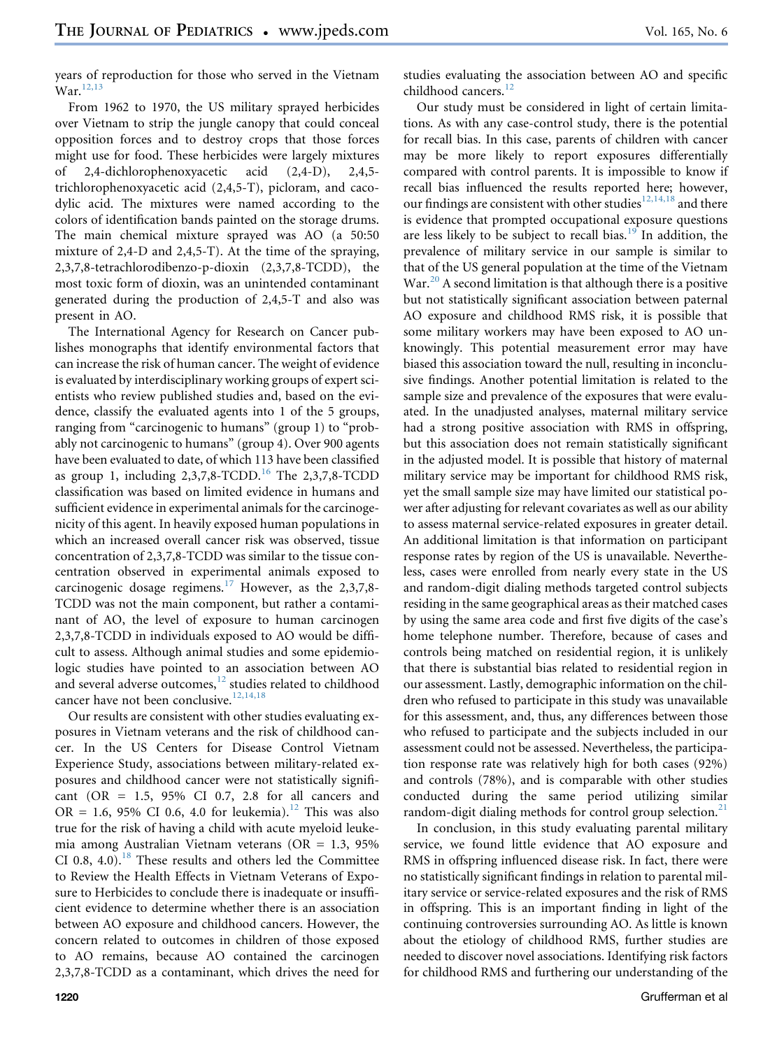years of reproduction for those who served in the Vietnam  $War.$ <sup>[12,13](#page-5-0)</sup>

From 1962 to 1970, the US military sprayed herbicides over Vietnam to strip the jungle canopy that could conceal opposition forces and to destroy crops that those forces might use for food. These herbicides were largely mixtures of 2,4-dichlorophenoxyacetic acid (2,4-D), 2,4,5 trichlorophenoxyacetic acid (2,4,5-T), picloram, and cacodylic acid. The mixtures were named according to the colors of identification bands painted on the storage drums. The main chemical mixture sprayed was AO (a 50:50 mixture of 2,4-D and 2,4,5-T). At the time of the spraying, 2,3,7,8-tetrachlorodibenzo-p-dioxin (2,3,7,8-TCDD), the most toxic form of dioxin, was an unintended contaminant generated during the production of 2,4,5-T and also was present in AO.

The International Agency for Research on Cancer publishes monographs that identify environmental factors that can increase the risk of human cancer. The weight of evidence is evaluated by interdisciplinary working groups of expert scientists who review published studies and, based on the evidence, classify the evaluated agents into 1 of the 5 groups, ranging from "carcinogenic to humans" (group 1) to "probably not carcinogenic to humans" (group 4). Over 900 agents have been evaluated to date, of which 113 have been classified as group 1, including  $2,3,7,8$ -TCDD.<sup>[16](#page-5-0)</sup> The  $2,3,7,8$ -TCDD classification was based on limited evidence in humans and sufficient evidence in experimental animals for the carcinogenicity of this agent. In heavily exposed human populations in which an increased overall cancer risk was observed, tissue concentration of 2,3,7,8-TCDD was similar to the tissue concentration observed in experimental animals exposed to carcinogenic dosage regimens.<sup>[17](#page-5-0)</sup> However, as the 2,3,7,8-TCDD was not the main component, but rather a contaminant of AO, the level of exposure to human carcinogen 2,3,7,8-TCDD in individuals exposed to AO would be difficult to assess. Although animal studies and some epidemiologic studies have pointed to an association between AO and several adverse outcomes,<sup>[12](#page-5-0)</sup> studies related to childhood cancer have not been conclusive.<sup>[12,14,18](#page-5-0)</sup>

Our results are consistent with other studies evaluating exposures in Vietnam veterans and the risk of childhood cancer. In the US Centers for Disease Control Vietnam Experience Study, associations between military-related exposures and childhood cancer were not statistically significant (OR = 1.5, 95% CI 0.7, 2.8 for all cancers and OR = 1.6, 95% CI 0.6, 4.0 for leukemia).<sup>[12](#page-5-0)</sup> This was also true for the risk of having a child with acute myeloid leukemia among Australian Vietnam veterans (OR = 1.3, 95% CI 0.8, 4.0).<sup>[18](#page-5-0)</sup> These results and others led the Committee to Review the Health Effects in Vietnam Veterans of Exposure to Herbicides to conclude there is inadequate or insufficient evidence to determine whether there is an association between AO exposure and childhood cancers. However, the concern related to outcomes in children of those exposed to AO remains, because AO contained the carcinogen 2,3,7,8-TCDD as a contaminant, which drives the need for

studies evaluating the association between AO and specific childhood cancers.<sup>[12](#page-5-0)</sup>

Our study must be considered in light of certain limitations. As with any case-control study, there is the potential for recall bias. In this case, parents of children with cancer may be more likely to report exposures differentially compared with control parents. It is impossible to know if recall bias influenced the results reported here; however, our findings are consistent with other studies  $^{12,14,18}$  $^{12,14,18}$  $^{12,14,18}$  and there is evidence that prompted occupational exposure questions are less likely to be subject to recall bias. $19$  In addition, the prevalence of military service in our sample is similar to that of the US general population at the time of the Vietnam  $War<sup>20</sup>$  $War<sup>20</sup>$  $War<sup>20</sup>$  A second limitation is that although there is a positive but not statistically significant association between paternal AO exposure and childhood RMS risk, it is possible that some military workers may have been exposed to AO unknowingly. This potential measurement error may have biased this association toward the null, resulting in inconclusive findings. Another potential limitation is related to the sample size and prevalence of the exposures that were evaluated. In the unadjusted analyses, maternal military service had a strong positive association with RMS in offspring, but this association does not remain statistically significant in the adjusted model. It is possible that history of maternal military service may be important for childhood RMS risk, yet the small sample size may have limited our statistical power after adjusting for relevant covariates as well as our ability to assess maternal service-related exposures in greater detail. An additional limitation is that information on participant response rates by region of the US is unavailable. Nevertheless, cases were enrolled from nearly every state in the US and random-digit dialing methods targeted control subjects residing in the same geographical areas as their matched cases by using the same area code and first five digits of the case's home telephone number. Therefore, because of cases and controls being matched on residential region, it is unlikely that there is substantial bias related to residential region in our assessment. Lastly, demographic information on the children who refused to participate in this study was unavailable for this assessment, and, thus, any differences between those who refused to participate and the subjects included in our assessment could not be assessed. Nevertheless, the participation response rate was relatively high for both cases (92%) and controls (78%), and is comparable with other studies conducted during the same period utilizing similar random-digit dialing methods for control group selection.<sup>[21](#page-5-0)</sup>

In conclusion, in this study evaluating parental military service, we found little evidence that AO exposure and RMS in offspring influenced disease risk. In fact, there were no statistically significant findings in relation to parental military service or service-related exposures and the risk of RMS in offspring. This is an important finding in light of the continuing controversies surrounding AO. As little is known about the etiology of childhood RMS, further studies are needed to discover novel associations. Identifying risk factors for childhood RMS and furthering our understanding of the